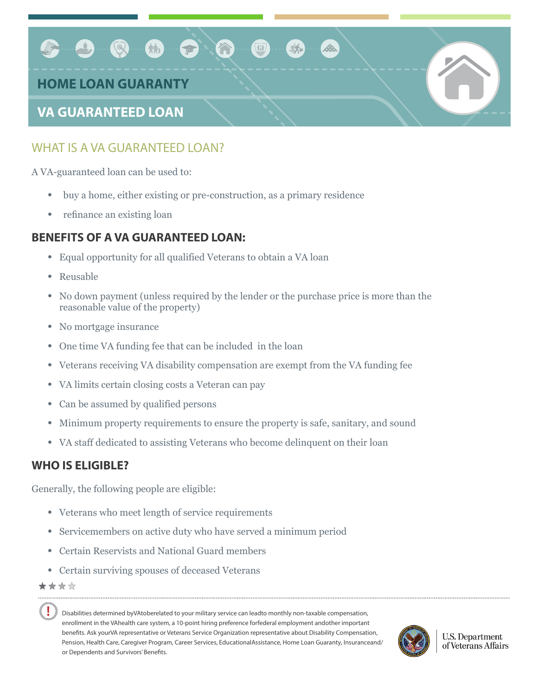# Mit - P  $\circledcirc$ **HOME LOAN GUARANTY VA GUARANTEED LOAN**

# WHAT IS A VA GUARANTEED LOAN?

A VA-guaranteed loan can be used to:

- buy a home, either existing or pre-construction, as a primary residence
- refinance an existing loan

#### **BENEFITS OF A VA GUARANTEED LOAN:**

- Equal opportunity for all qualified Veterans to obtain a VA loan
- Reusable
- No down payment (unless required by the lender or the purchase price is more than the reasonable value of the property)
- No mortgage insurance
- One time VA funding fee that can be included in the loan
- Veterans receiving VA disability compensation are exempt from the VA funding fee
- VA limits certain closing costs a Veteran can pay
- Can be assumed by qualified persons
- Minimum property requirements to ensure the property is safe, sanitary, and sound
- VA staff dedicated to assisting Veterans who become delinquent on their loan

#### **WHO IS ELIGIBLE?**

Generally, the following people are eligible:

- Veterans who meet length of service requirements
- Servicemembers on active duty who have served a minimum period
- Certain Reservists and National Guard members
- Certain surviving spouses of deceased Veterans

★★★☆

Ţ

Disabilities determined byVAtoberelated to your military service can leadto monthly non-taxable compensation, enrollment in the VAhealth care system, a 10-point hiring preference forfederal employment andother important benefits. Ask yourVA representative or Veterans Service Organization representative about Disability Compensation, Pension, Health Care, Caregiver Program, Career Services, EducationalAssistance, Home Loan Guaranty, Insuranceand/ or Dependents and Survivors' Benefits.